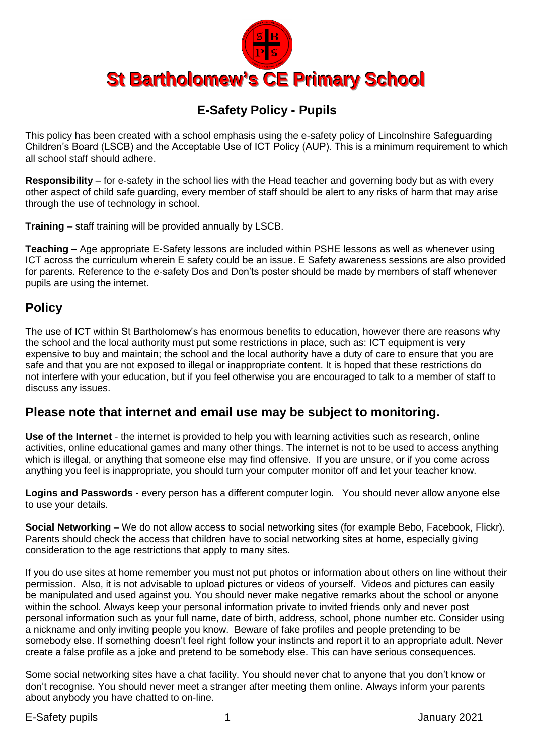

## **E-Safety Policy - Pupils**

This policy has been created with a school emphasis using the e-safety policy of Lincolnshire Safeguarding Children's Board (LSCB) and the Acceptable Use of ICT Policy (AUP). This is a minimum requirement to which all school staff should adhere.

**Responsibility** – for e-safety in the school lies with the Head teacher and governing body but as with every other aspect of child safe guarding, every member of staff should be alert to any risks of harm that may arise through the use of technology in school.

**Training** – staff training will be provided annually by LSCB.

**Teaching –** Age appropriate E-Safety lessons are included within PSHE lessons as well as whenever using ICT across the curriculum wherein E safety could be an issue. E Safety awareness sessions are also provided for parents. Reference to the e-safety Dos and Don'ts poster should be made by members of staff whenever pupils are using the internet.

## **Policy**

The use of ICT within St Bartholomew's has enormous benefits to education, however there are reasons why the school and the local authority must put some restrictions in place, such as: ICT equipment is very expensive to buy and maintain; the school and the local authority have a duty of care to ensure that you are safe and that you are not exposed to illegal or inappropriate content. It is hoped that these restrictions do not interfere with your education, but if you feel otherwise you are encouraged to talk to a member of staff to discuss any issues.

## **Please note that internet and email use may be subject to monitoring.**

**Use of the Internet** - the internet is provided to help you with learning activities such as research, online activities, online educational games and many other things. The internet is not to be used to access anything which is illegal, or anything that someone else may find offensive. If you are unsure, or if you come across anything you feel is inappropriate, you should turn your computer monitor off and let your teacher know.

**Logins and Passwords** - every person has a different computer login. You should never allow anyone else to use your details.

**Social Networking** – We do not allow access to social networking sites (for example Bebo, Facebook, Flickr). Parents should check the access that children have to social networking sites at home, especially giving consideration to the age restrictions that apply to many sites.

If you do use sites at home remember you must not put photos or information about others on line without their permission. Also, it is not advisable to upload pictures or videos of yourself. Videos and pictures can easily be manipulated and used against you. You should never make negative remarks about the school or anyone within the school. Always keep your personal information private to invited friends only and never post personal information such as your full name, date of birth, address, school, phone number etc. Consider using a nickname and only inviting people you know. Beware of fake profiles and people pretending to be somebody else. If something doesn't feel right follow your instincts and report it to an appropriate adult. Never create a false profile as a joke and pretend to be somebody else. This can have serious consequences.

Some social networking sites have a chat facility. You should never chat to anyone that you don't know or don't recognise. You should never meet a stranger after meeting them online. Always inform your parents about anybody you have chatted to on-line.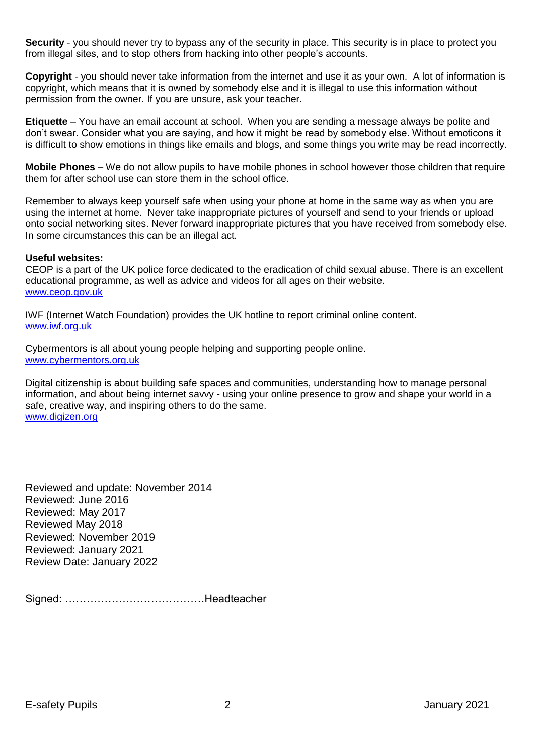**Security** - you should never try to bypass any of the security in place. This security is in place to protect you from illegal sites, and to stop others from hacking into other people's accounts.

**Copyright** - you should never take information from the internet and use it as your own. A lot of information is copyright, which means that it is owned by somebody else and it is illegal to use this information without permission from the owner. If you are unsure, ask your teacher.

**Etiquette** – You have an email account at school. When you are sending a message always be polite and don't swear. Consider what you are saying, and how it might be read by somebody else. Without emoticons it is difficult to show emotions in things like emails and blogs, and some things you write may be read incorrectly.

**Mobile Phones** – We do not allow pupils to have mobile phones in school however those children that require them for after school use can store them in the school office.

Remember to always keep yourself safe when using your phone at home in the same way as when you are using the internet at home. Never take inappropriate pictures of yourself and send to your friends or upload onto social networking sites. Never forward inappropriate pictures that you have received from somebody else. In some circumstances this can be an illegal act.

#### **Useful websites:**

CEOP is a part of the UK police force dedicated to the eradication of child sexual abuse. There is an excellent educational programme, as well as advice and videos for all ages on their website. [www.ceop.gov.uk](http://www.ceop.gov.uk/)

IWF (Internet Watch Foundation) provides the UK hotline to report criminal online content. [www.iwf.org.uk](http://www.iwf.org.uk/)

Cybermentors is all about young people helping and supporting people online. [www.cybermentors.org.uk](http://www.cybermentors.org.uk/)

Digital citizenship is about building safe spaces and communities, understanding how to manage personal information, and about being internet savvy - using your online presence to grow and shape your world in a safe, creative way, and inspiring others to do the same. [www.digizen.org](http://www.digizen.org/)

Reviewed and update: November 2014 Reviewed: June 2016 Reviewed: May 2017 Reviewed May 2018 Reviewed: November 2019 Reviewed: January 2021 Review Date: January 2022

Signed: …………………………………Headteacher